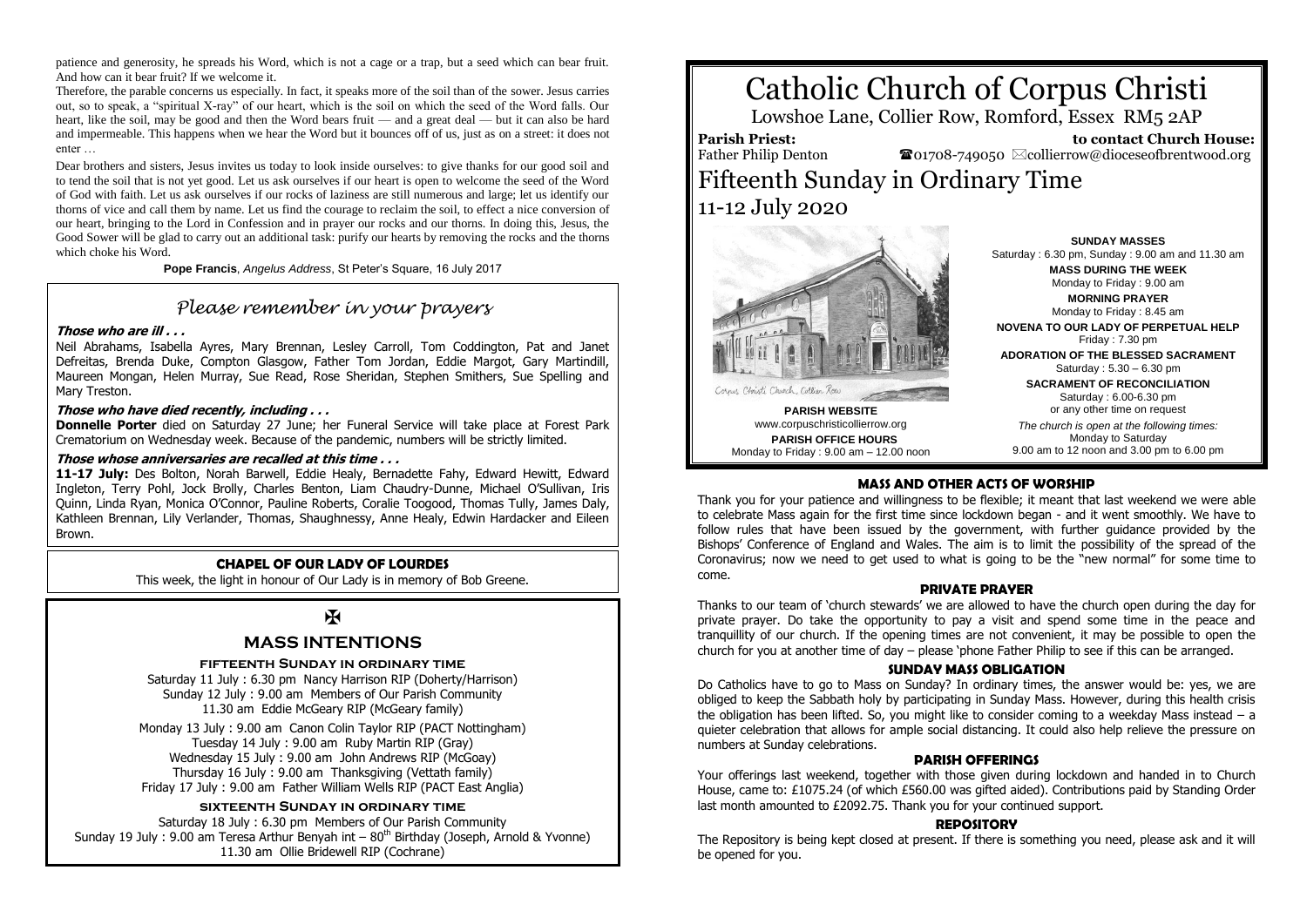patience and generosity, he spreads his Word, which is not a cage or a trap, but a seed which can bear fruit. And how can it bear fruit? If we welcome it.

Therefore, the parable concerns us especially. In fact, it speaks more of the soil than of the sower. Jesus carries out, so to speak, a "spiritual X-ray" of our heart, which is the soil on which the seed of the Word falls. Our heart, like the soil, may be good and then the Word bears fruit — and a great deal — but it can also be hard and impermeable. This happens when we hear the Word but it bounces off of us, just as on a street: it does not enter …

Dear brothers and sisters, Jesus invites us today to look inside ourselves: to give thanks for our good soil and to tend the soil that is not yet good. Let us ask ourselves if our heart is open to welcome the seed of the Word of God with faith. Let us ask ourselves if our rocks of laziness are still numerous and large; let us identify our thorns of vice and call them by name. Let us find the courage to reclaim the soil, to effect a nice conversion of our heart, bringing to the Lord in Confession and in prayer our rocks and our thorns. In doing this, Jesus, the Good Sower will be glad to carry out an additional task: purify our hearts by removing the rocks and the thorns which choke his Word.

**Pope Francis**, *Angelus Address*, St Peter's Square, 16 July 2017

## *Please remember in your prayers*

#### **Those who are ill . . .**

Neil Abrahams, Isabella Ayres, Mary Brennan, Lesley Carroll, Tom Coddington, Pat and Janet Defreitas, Brenda Duke, Compton Glasgow, Father Tom Jordan, Eddie Margot, Gary Martindill, Maureen Mongan, Helen Murray, Sue Read, Rose Sheridan, Stephen Smithers, Sue Spelling and Mary Treston.

#### **Those who have died recently, including . . .**

**Donnelle Porter** died on Saturday 27 June; her Funeral Service will take place at Forest Park Crematorium on Wednesday week. Because of the pandemic, numbers will be strictly limited.

#### **Those whose anniversaries are recalled at this time . . .**

**11-17 July:** Des Bolton, Norah Barwell, Eddie Healy, Bernadette Fahy, Edward Hewitt, Edward Ingleton, Terry Pohl, Jock Brolly, Charles Benton, Liam Chaudry-Dunne, Michael O'Sullivan, Iris Quinn, Linda Ryan, Monica O'Connor, Pauline Roberts, Coralie Toogood, Thomas Tully, James Daly, Kathleen Brennan, Lily Verlander, Thomas, Shaughnessy, Anne Healy, Edwin Hardacker and Eileen Brown.

#### **CHAPEL OF OUR LADY OF LOURDES**

This week, the light in honour of Our Lady is in memory of Bob Greene.

## $\mathbf K$

#### **MASS INTENTIONS**

**fifteenth Sunday in ordinary time**

Saturday 11 July : 6.30 pm Nancy Harrison RIP (Doherty/Harrison) Sunday 12 July : 9.00 am Members of Our Parish Community 11.30 am Eddie McGeary RIP (McGeary family)

Monday 13 July : 9.00 am Canon Colin Taylor RIP (PACT Nottingham) Tuesday 14 July : 9.00 am Ruby Martin RIP (Gray) Wednesday 15 July : 9.00 am John Andrews RIP (McGoay) Thursday 16 July : 9.00 am Thanksgiving (Vettath family) Friday 17 July : 9.00 am Father William Wells RIP (PACT East Anglia)

#### **sixteenth Sunday in ordinary time**

Saturday 18 July : 6.30 pm Members of Our Parish Community Sunday 19 July : 9.00 am Teresa Arthur Benyah int –  $80<sup>th</sup>$  Birthday (Joseph, Arnold & Yvonne) 11.30 am Ollie Bridewell RIP (Cochrane)

# Catholic Church of Corpus Christi

Lowshoe Lane, Collier Row, Romford, Essex RM5 2AP

**Parish Priest:** Father Philip Denton

 **to contact Church House:**  $\bullet$ 01708-749050  $\boxtimes$ collierrow@dioceseofbrentwood.org

## Fifteenth Sunday in Ordinary Time 11-12 July 2020



Saturday : 6.30 pm, Sunday : 9.00 am and 11.30 am **MASS DURING THE WEEK** Monday to Friday : 9.00 am **MORNING PRAYER** Monday to Friday : 8.45 am **NOVENA TO OUR LADY OF PERPETUAL HELP** Friday : 7.30 pm **ADORATION OF THE BLESSED SACRAMENT** Saturday : 5.30 – 6.30 pm **SACRAMENT OF RECONCILIATION** Saturday : 6.00-6.30 pm

**SUNDAY MASSES**

Monday to Friday : 9.00 am – 12.00 noon

#### or any other time on request *The church is open at the following times:* Monday to Saturday 9.00 am to 12 noon and 3.00 pm to 6.00 pm

#### **MASS AND OTHER ACTS OF WORSHIP**

Thank you for your patience and willingness to be flexible; it meant that last weekend we were able to celebrate Mass again for the first time since lockdown began - and it went smoothly. We have to follow rules that have been issued by the government, with further guidance provided by the Bishops' Conference of England and Wales. The aim is to limit the possibility of the spread of the Coronavirus; now we need to get used to what is going to be the "new normal" for some time to come.

#### **PRIVATE PRAYER**

Thanks to our team of 'church stewards' we are allowed to have the church open during the day for private prayer. Do take the opportunity to pay a visit and spend some time in the peace and tranquillity of our church. If the opening times are not convenient, it may be possible to open the church for you at another time of day – please 'phone Father Philip to see if this can be arranged.

#### **SUNDAY MASS OBLIGATION**

Do Catholics have to go to Mass on Sunday? In ordinary times, the answer would be: yes, we are obliged to keep the Sabbath holy by participating in Sunday Mass. However, during this health crisis the obligation has been lifted. So, you might like to consider coming to a weekday Mass instead – a quieter celebration that allows for ample social distancing. It could also help relieve the pressure on numbers at Sunday celebrations.

#### **PARISH OFFERINGS**

Your offerings last weekend, together with those given during lockdown and handed in to Church House, came to: £1075.24 (of which £560.00 was gifted aided). Contributions paid by Standing Order last month amounted to £2092.75. Thank you for your continued support.

#### **REPOSITORY**

The Repository is being kept closed at present. If there is something you need, please ask and it will be opened for you.